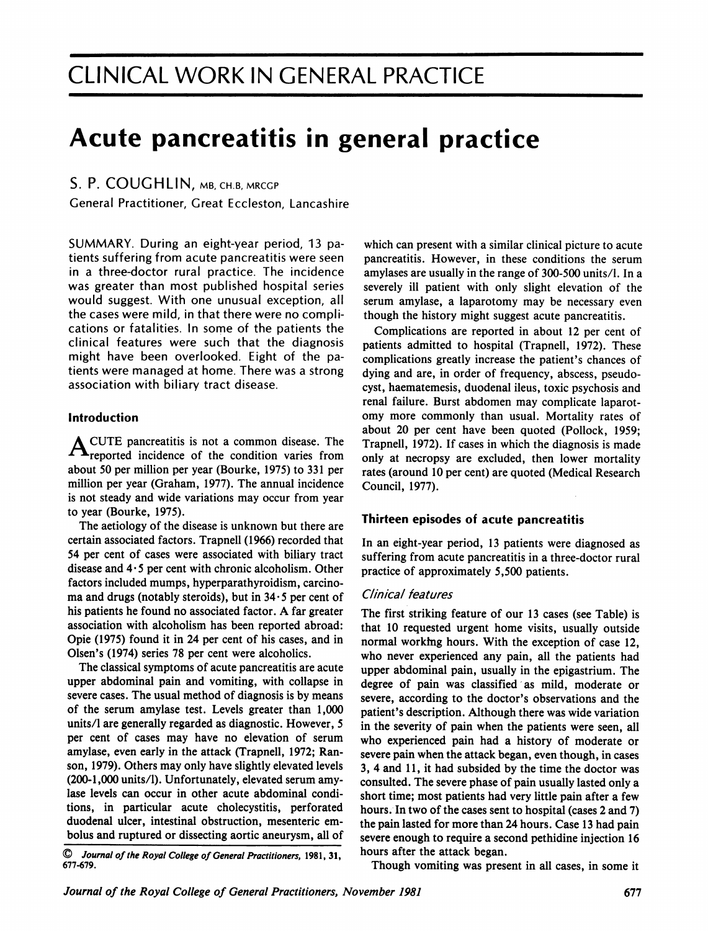# Acute pancreatitis in general practice

## S. P. COUGHLIN, MB, CH.B, MRCGP

General Practitioner, Great Eccleston, Lancashire

SUMMARY. During an eight-year period, 13 patients suffering from acute pancreatitis were seen in a three-doctor rural practice. The incidence was greater than most published hospital series would suggest. With one unusual exception, all the cases were mild, in that there were no complications or fatalities. In some of the patients the clinical features were such that the diagnosis might have been overlooked. Eight of the patients were managed at home. There was <sup>a</sup> strong association with biliary tract disease.

## Introduction

A CUTE pancreatitis is not <sup>a</sup> common disease. The  $\blacktriangle$   $\blacktriangle$  reported incidence of the condition varies from about 50 per million per year (Bourke, 1975) to 331 per million per year (Graham, 1977). The annual incidence is not steady and wide variations may occur from year to year (Bourke, 1975).

The aetiology of the disease is unknown but there are certain associated factors. Trapnell (1966) recorded that 54 per cent of cases were associated with biliary tract disease and  $4.5$  per cent with chronic alcoholism. Other factors included mumps, hyperparathyroidism, carcinoma and drugs (notably steroids), but in  $34 \cdot 5$  per cent of his patients he found no associated factor. A far greater association with alcoholism has been reported abroad: Opie (1975) found it in 24 per cent of his cases, and in Olsen's (1974) series 78 per cent were alcoholics.

The classical symptoms of acute pancreatitis are acute upper abdominal pain and vomiting, with collapse in severe cases. The usual method of diagnosis is by means of the serum amylase test. Levels greater than 1,000 units/1 are generally regarded as diagnostic. However, 5 per cent of cases may have no elevation of serum amylase, even early in the attack (Trapnell, 1972; Ranson, 1979). Others may only have slightly elevated levels (200-1,000 units/l). Unfortunately, elevated serum amylase levels can occur in other acute abdominal conditions, in particular acute cholecystitis, perforated duodenal ulcer, intestinal obstruction, mesenteric embolus and ruptured or dissecting aortic aneurysm, all of

Journal of the Royal College of General Practitioners, 1981, 31, 677-679.

which can present with a similar clinical picture to acute pancreatitis. However, in these conditions the serum amylases are usually in the range of 300-500 units/1. In a severely ill patient with only slight elevation of the serum amylase, a laparotomy may be necessary even though the history might suggest acute pancreatitis.

Complications are reported in about 12 per cent of patients admitted to hospital (Trapnell, 1972). These complications greatly increase the patient's chances of dying and are, in order of frequency, abscess, pseudocyst, haematemesis, duodenal ileus, toxic psychosis and renal failure. Burst abdomen may complicate laparotomy more commonly than usual. Mortality rates of about 20 per cent have been quoted (Pollock, 1959; Trapnell, 1972). If cases in which the diagnosis is made only at necropsy are excluded, then lower mortality rates (around 10 per cent) are quoted (Medical Research Council, 1977).

### Thirteen episodes of acute pancreatitis

In an eight-year period, <sup>13</sup> patients were diagnosed as suffering from acute pancreatitis in a three-doctor rural practice of approximately 5,500 patients.

### Clinical features

The first striking feature of our <sup>13</sup> cases (see Table) is that <sup>10</sup> requested urgent home visits, usually outside normal working hours. With the exception of case 12, who never experienced any pain, all the patients had upper abdominal pain, usually in the epigastrium. The degree of pain was classified as mild, moderate or severe, according to the doctor's observations and the patient's description. Although there was wide variation in the severity of pain when the patients were seen, all who experienced pain had <sup>a</sup> history of moderate or severe pain when the attack began, even though, in cases 3, 4 and 11, it had subsided by the time the doctor was consulted. The severe phase of pain usually lasted only a short time; most patients had very little pain after a few hours. In two of the cases sent to hospital (cases 2 and 7) the pain lasted for more than 24 hours. Case <sup>13</sup> had pain severe enough to require a second pethidine injection 16 hours after the attack began.

Though vomiting was present in all cases, in some it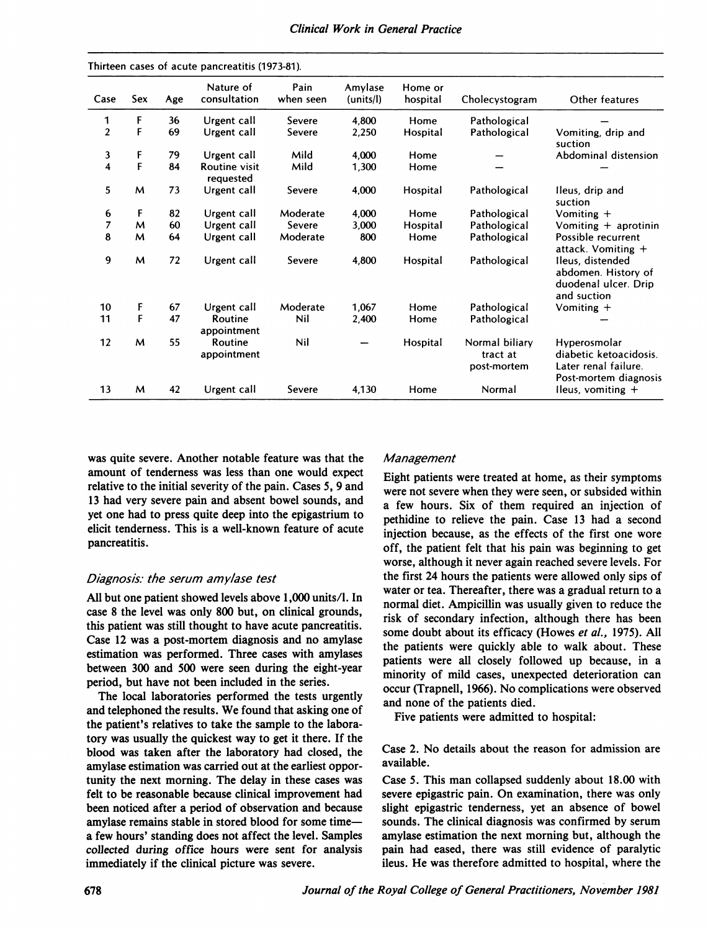|  |  |  | Clinical Work in General Practice |
|--|--|--|-----------------------------------|
|--|--|--|-----------------------------------|

| Case             | Sex | Age | Nature of<br>consultation  | Pain<br>when seen | Amylase<br>(units/l) | Home or<br>hospital | Cholecystogram                            | Other features                                                                          |
|------------------|-----|-----|----------------------------|-------------------|----------------------|---------------------|-------------------------------------------|-----------------------------------------------------------------------------------------|
| 1                | F   | 36  | Urgent call                | Severe            | 4,800                | Home                | Pathological                              |                                                                                         |
| $\overline{2}$   | F   | 69  | Urgent call                | Severe            | 2,250                | Hospital            | Pathological                              | Vomiting, drip and<br>suction                                                           |
| 3                | F   | 79  | Urgent call                | Mild              | 4,000                | Home                |                                           | Abdominal distension                                                                    |
| 4                | F   | 84  | Routine visit<br>requested | Mild              | 1,300                | Home                |                                           |                                                                                         |
| 5                | M   | 73  | Urgent call                | Severe            | 4,000                | Hospital            | Pathological                              | Ileus, drip and<br>suction                                                              |
| 6                | F   | 82  | Urgent call                | Moderate          | 4,000                | Home                | Pathological                              | Vomiting $+$                                                                            |
| $\overline{7}$   | M   | 60  | Urgent call                | Severe            | 3,000                | Hospital            | Pathological                              | Vomiting $+$ aprotinin                                                                  |
| 8                | м   | 64  | Urgent call                | Moderate          | 800                  | Home                | Pathological                              | Possible recurrent<br>attack. Vomiting +                                                |
| $\boldsymbol{9}$ | м   | 72  | Urgent call                | Severe            | 4,800                | Hospital            | Pathological                              | Ileus, distended<br>abdomen. History of<br>duodenal ulcer. Drip<br>and suction          |
| 10               | F   | 67  | Urgent call                | Moderate          | 1,067                | Home                | Pathological                              | Vomiting $+$                                                                            |
| 11               | F   | 47  | Routine<br>appointment     | Nil               | 2,400                | Home                | Pathological                              |                                                                                         |
| 12               | M   | 55  | Routine<br>appointment     | Nil               |                      | Hospital            | Normal biliary<br>tract at<br>post-mortem | Hyperosmolar<br>diabetic ketoacidosis.<br>Later renal failure.<br>Post-mortem diagnosis |
| 13               | м   | 42  | Urgent call                | Severe            | 4,130                | Home                | Normal                                    | Ileus, vomiting $+$                                                                     |

was quite severe. Another notable feature was that the amount of tenderness was less than one would expect relative to the initial severity of the pain. Cases 5, 9 and <sup>13</sup> had very severe pain and absent bowel sounds, and yet one had to press quite deep into the epigastrium to elicit tenderness. This is a well-known feature of acute pancreatitis.

### Diagnosis: the serum amylase test

Thirtean cases of acute pancroatitis (1072.01)

All but one patient showed levels above 1,000 units/1. In case <sup>8</sup> the level was only 800 but, on clinical grounds, this patient was still thought to have acute pancreatitis. Case <sup>12</sup> was a post-mortem diagnosis and no amylase estimation was performed. Three cases with amylases between 300 and 500 were seen during the eight-year period, but have not been included in the series.

The local laboratories performed the tests urgently and telephoned the results. We found that asking one of the patient's relatives to take the sample to the laboratory was usually the quickest way to get it there. If the blood was taken after the laboratory had closed, the amylase estimation was carried out at the earliest opportunity the next morning. The delay in these cases was felt to be reasonable because clinical improvement had been noticed after a period of observation and because amylase remains stable in stored blood for some timea few hours' standing does not affect the level. Samples collected during office hours were sent for analysis immediately if the clinical picture was severe.

#### Management

Eight patients were treated at home, as their symptoms were not severe when they were seen, or subsided within a few hours. Six of them required an injection of pethidine to relieve the pain. Case <sup>13</sup> had a second injection because, as the effects of the first one wore off, the patient felt that his pain was beginning to get worse, although it never again reached severe levels. For the first 24 hours the patients were allowed only sips of water or tea. Thereafter, there was a gradual return to a normal diet. Ampicillin was usually given to reduce the risk of secondary infection, although there has been some doubt about its efficacy (Howes et al., 1975). All the patients were quickly able to walk about. These patients were all closely followed up because, in a minority of mild cases, unexpected deterioration can occur (Trapnell, 1966). No complications were observed and none of the patients died.

Five patients were admitted to hospital:

Case 2. No details about the reason for admission are available.

Case 5. This man collapsed suddenly about 18.00 with severe epigastric pain. On examination, there was only slight epigastric tenderness, yet an absence of bowel sounds. The clinical diagnosis was confirmed by serum amylase estimation the next morning but, although the pain had eased, there was still evidence of paralytic ileus. He was therefore admitted to hospital, where the